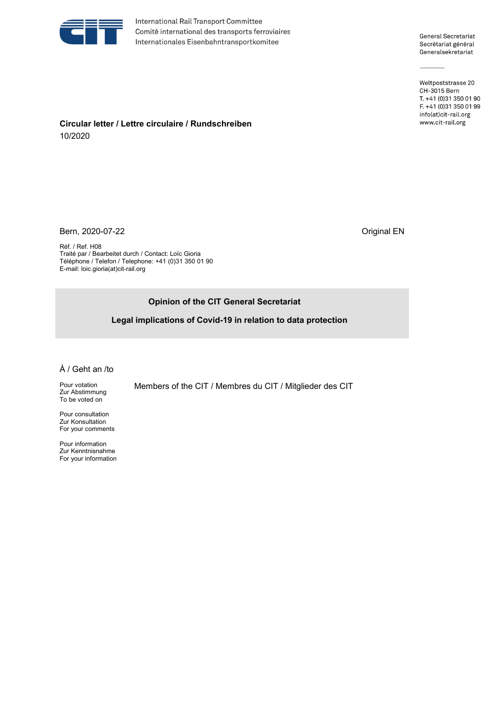

International Rail Transport Committee Comité international des transports ferroviaires Internationales Eisenbahntransportkomitee

General Secretariat Secrétariat général Generalsekretariat

Weltpoststrasse 20 CH-3015 Bern T. +41 (0)31 350 01 90 F. +41 (0)31 350 01 99 info(at)cit-rail.org www.cit-rail.org

**Circular letter / Lettre circulaire / Rundschreiben**  10/2020

Bern, 2020-07-22 Criginal EN

Réf. / Ref. H08 Traité par / Bearbeitet durch / Contact: Loïc Gioria Téléphone / Telefon / Telephone: +41 (0)31 350 01 90 E-mail: loic.gioria(at)cit-rail.org

# **Opinion of the CIT General Secretariat**

**Legal implications of Covid-19 in relation to data protection**

#### À / Geht an /to

Pour votation Zur Abstimmung To be voted on

Pour consultation Zur Konsultation For your comments

Pour information Zur Kenntnisnahme For your information Members of the CIT / Membres du CIT / Mitglieder des CIT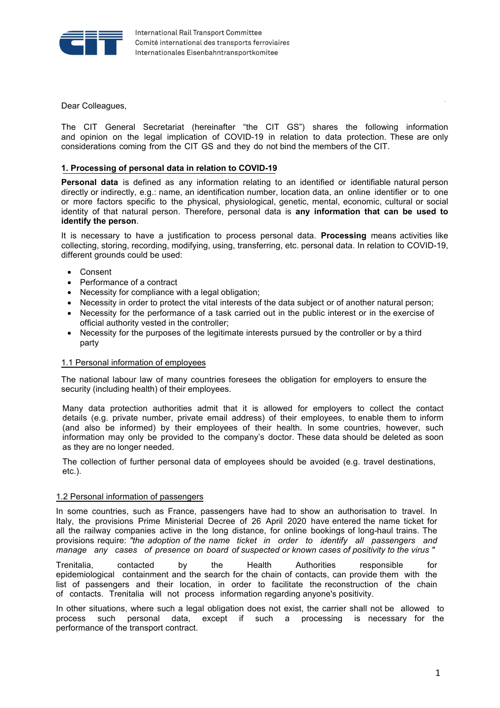

Dear Colleagues,

The CIT General Secretariat (hereinafter "the CIT GS") shares the following information and opinion on the legal implication of COVID-19 in relation to data protection. These are only considerations coming from the CIT GS and they do not bind the members of the CIT.

## **1. Processing of personal data in relation to COVID-19**

**Personal data** is defined as any information relating to an identified or identifiable natural person directly or indirectly, e.g.: name, an identification number, location data, an online identifier or to one or more factors specific to the physical, physiological, genetic, mental, economic, cultural or social identity of that natural person. Therefore, personal data is **any information that can be used to identify the person**.

It is necessary to have a justification to process personal data. **Processing** means activities like collecting, storing, recording, modifying, using, transferring, etc. personal data. In relation to COVID-19, different grounds could be used:

- Consent
- Performance of a contract
- Necessity for compliance with a legal obligation;
- Necessity in order to protect the vital interests of the data subject or of another natural person;
- Necessity for the performance of a task carried out in the public interest or in the exercise of official authority vested in the controller;
- Necessity for the purposes of the legitimate interests pursued by the controller or by a third party

#### 1.1 Personal information of employees

The national labour law of many countries foresees the obligation for employers to ensure the security (including health) of their employees.

Many data protection authorities admit that it is allowed for employers to collect the contact details (e.g. private number, private email address) of their employees, to enable them to inform (and also be informed) by their employees of their health. In some countries, however, such information may only be provided to the company's doctor. These data should be deleted as soon as they are no longer needed.

The collection of further personal data of employees should be avoided (e.g. travel destinations, etc.).

#### 1.2 Personal information of passengers

In some countries, such as France, passengers have had to show an authorisation to travel. In Italy, the provisions Prime Ministerial Decree of 26 April 2020 have entered the name ticket for all the railway companies active in the long distance, for online bookings of long-haul trains. The provisions require: *"the adoption of the name ticket in order to identify all passengers and manage any cases of presence on board of suspected or known cases of positivity to the virus "*

Trenitalia, contacted by the Health Authorities responsible for epidemiological containment and the search for the chain of contacts, can provide them with the list of passengers and their location, in order to facilitate the reconstruction of the chain of contacts. Trenitalia will not process information regarding anyone's positivity.

In other situations, where such a legal obligation does not exist, the carrier shall not be allowed to process such personal data, except if such a processing is necessary for the performance of the transport contract.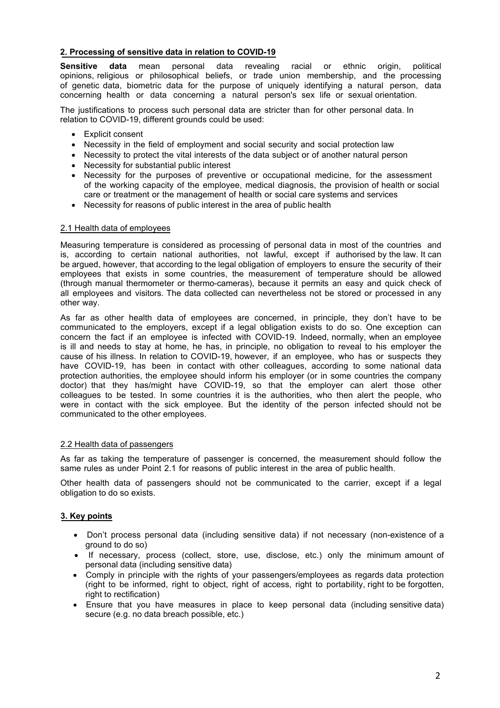# **2. Processing of sensitive data in relation to COVID-19**

**Sensitive data** mean personal data revealing racial or ethnic origin, political opinions, religious or philosophical beliefs, or trade union membership, and the processing of genetic data, biometric data for the purpose of uniquely identifying a natural person, data concerning health or data concerning a natural person's sex life or sexual orientation.

The justifications to process such personal data are stricter than for other personal data. In relation to COVID-19, different grounds could be used:

- Explicit consent
- Necessity in the field of employment and social security and social protection law
- Necessity to protect the vital interests of the data subject or of another natural person
- Necessity for substantial public interest
- Necessity for the purposes of preventive or occupational medicine, for the assessment of the working capacity of the employee, medical diagnosis, the provision of health or social care or treatment or the management of health or social care systems and services
- Necessity for reasons of public interest in the area of public health

## 2.1 Health data of employees

Measuring temperature is considered as processing of personal data in most of the countries and is, according to certain national authorities, not lawful, except if authorised by the law. It can be argued, however, that according to the legal obligation of employers to ensure the security of their employees that exists in some countries, the measurement of temperature should be allowed (through manual thermometer or thermo-cameras), because it permits an easy and quick check of all employees and visitors. The data collected can nevertheless not be stored or processed in any other way.

As far as other health data of employees are concerned, in principle, they don't have to be communicated to the employers, except if a legal obligation exists to do so. One exception can concern the fact if an employee is infected with COVID-19. Indeed, normally, when an employee is ill and needs to stay at home, he has, in principle, no obligation to reveal to his employer the cause of his illness. In relation to COVID-19, however, if an employee, who has or suspects they have COVID-19, has been in contact with other colleagues, according to some national data protection authorities, the employee should inform his employer (or in some countries the company doctor) that they has/might have COVID-19, so that the employer can alert those other colleagues to be tested. In some countries it is the authorities, who then alert the people, who were in contact with the sick employee. But the identity of the person infected should not be communicated to the other employees.

## 2.2 Health data of passengers

As far as taking the temperature of passenger is concerned, the measurement should follow the same rules as under Point 2.1 for reasons of public interest in the area of public health.

Other health data of passengers should not be communicated to the carrier, except if a legal obligation to do so exists.

## **3. Key points**

- Don't process personal data (including sensitive data) if not necessary (non-existence of a ground to do so)
- If necessary, process (collect, store, use, disclose, etc.) only the minimum amount of personal data (including sensitive data)
- Comply in principle with the rights of your passengers/employees as regards data protection (right to be informed, right to object, right of access, right to portability, right to be forgotten, right to rectification)
- Ensure that you have measures in place to keep personal data (including sensitive data) secure (e.g. no data breach possible, etc.)